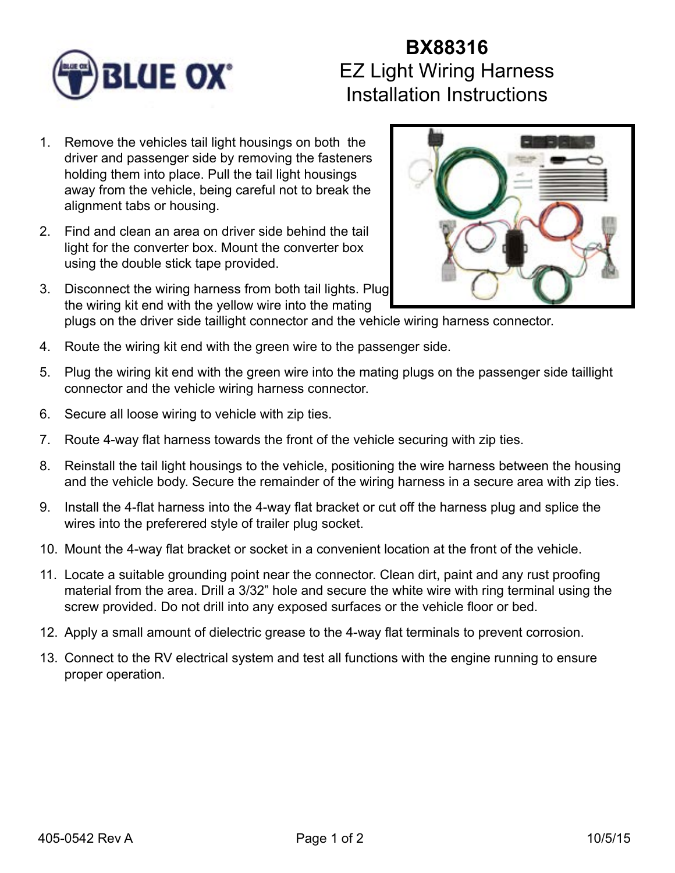

## **BX88316** EZ Light Wiring Harness Installation Instructions

- 1. Remove the vehicles tail light housings on both the driver and passenger side by removing the fasteners holding them into place. Pull the tail light housings away from the vehicle, being careful not to break the alignment tabs or housing.
- 2. Find and clean an area on driver side behind the tail light for the converter box. Mount the converter box using the double stick tape provided.
- 3. Disconnect the wiring harness from both tail lights. Plug the wiring kit end with the yellow wire into the mating



- plugs on the driver side taillight connector and the vehicle wiring harness connector.
- 4. Route the wiring kit end with the green wire to the passenger side.
- 5. Plug the wiring kit end with the green wire into the mating plugs on the passenger side taillight connector and the vehicle wiring harness connector.
- 6. Secure all loose wiring to vehicle with zip ties.
- 7. Route 4-way flat harness towards the front of the vehicle securing with zip ties.
- 8. Reinstall the tail light housings to the vehicle, positioning the wire harness between the housing and the vehicle body. Secure the remainder of the wiring harness in a secure area with zip ties.
- 9. Install the 4-flat harness into the 4-way flat bracket or cut off the harness plug and splice the wires into the preferered style of trailer plug socket.
- 10. Mount the 4-way flat bracket or socket in a convenient location at the front of the vehicle.
- 11. Locate a suitable grounding point near the connector. Clean dirt, paint and any rust proofing material from the area. Drill a 3/32" hole and secure the white wire with ring terminal using the screw provided. Do not drill into any exposed surfaces or the vehicle floor or bed.
- 12. Apply a small amount of dielectric grease to the 4-way flat terminals to prevent corrosion.
- 13. Connect to the RV electrical system and test all functions with the engine running to ensure proper operation.